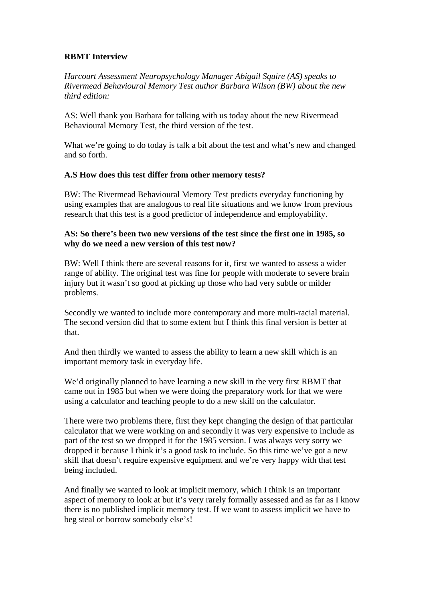## **RBMT Interview**

*Harcourt Assessment Neuropsychology Manager Abigail Squire (AS) speaks to Rivermead Behavioural Memory Test author Barbara Wilson (BW) about the new third edition:* 

AS: Well thank you Barbara for talking with us today about the new Rivermead Behavioural Memory Test, the third version of the test.

What we're going to do today is talk a bit about the test and what's new and changed and so forth.

### **A.S How does this test differ from other memory tests?**

BW: The Rivermead Behavioural Memory Test predicts everyday functioning by using examples that are analogous to real life situations and we know from previous research that this test is a good predictor of independence and employability.

### **AS: So there's been two new versions of the test since the first one in 1985, so why do we need a new version of this test now?**

BW: Well I think there are several reasons for it, first we wanted to assess a wider range of ability. The original test was fine for people with moderate to severe brain injury but it wasn't so good at picking up those who had very subtle or milder problems.

Secondly we wanted to include more contemporary and more multi-racial material. The second version did that to some extent but I think this final version is better at that.

And then thirdly we wanted to assess the ability to learn a new skill which is an important memory task in everyday life.

We'd originally planned to have learning a new skill in the very first RBMT that came out in 1985 but when we were doing the preparatory work for that we were using a calculator and teaching people to do a new skill on the calculator.

There were two problems there, first they kept changing the design of that particular calculator that we were working on and secondly it was very expensive to include as part of the test so we dropped it for the 1985 version. I was always very sorry we dropped it because I think it's a good task to include. So this time we've got a new skill that doesn't require expensive equipment and we're very happy with that test being included.

And finally we wanted to look at implicit memory, which I think is an important aspect of memory to look at but it's very rarely formally assessed and as far as I know there is no published implicit memory test. If we want to assess implicit we have to beg steal or borrow somebody else's!